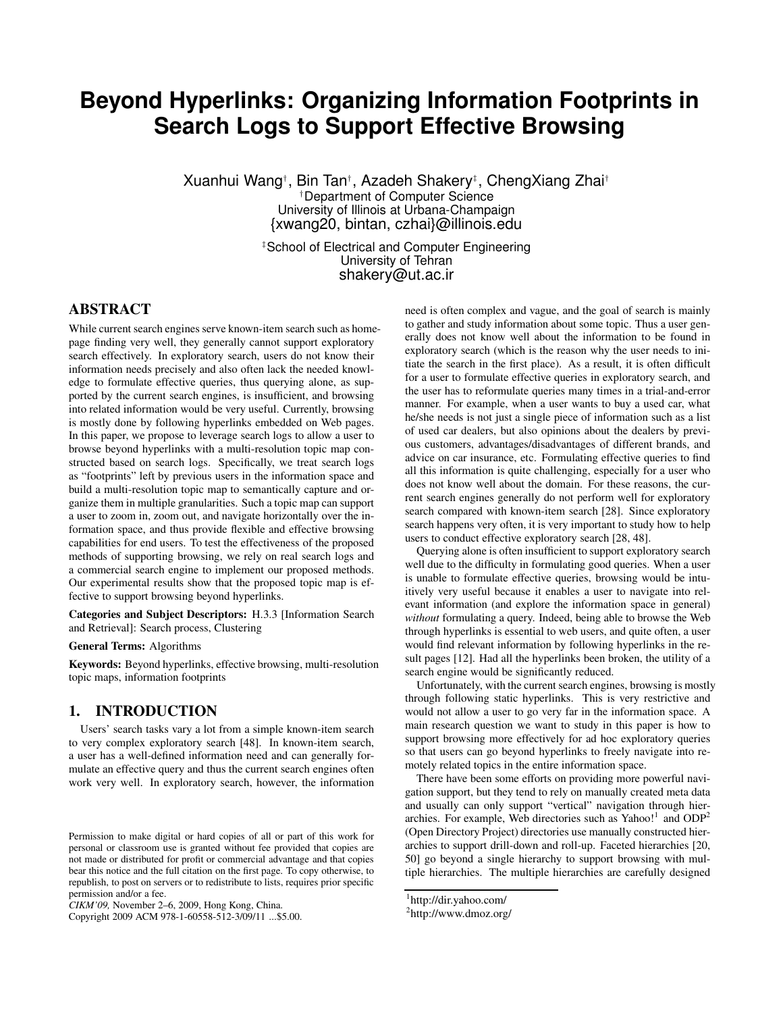# **Beyond Hyperlinks: Organizing Information Footprints in Search Logs to Support Effective Browsing**

Xuanhui Wang† , Bin Tan† , Azadeh Shakery ‡ , ChengXiang Zhai† †Department of Computer Science University of Illinois at Urbana-Champaign {xwang20, bintan, czhai}@illinois.edu

> ‡School of Electrical and Computer Engineering University of Tehran shakery@ut.ac.ir

# **ABSTRACT**

While current search engines serve known-item search such as homepage finding very well, they generally cannot support exploratory search effectively. In exploratory search, users do not know their information needs precisely and also often lack the needed knowledge to formulate effective queries, thus querying alone, as supported by the current search engines, is insufficient, and browsing into related information would be very useful. Currently, browsing is mostly done by following hyperlinks embedded on Web pages. In this paper, we propose to leverage search logs to allow a user to browse beyond hyperlinks with a multi-resolution topic map constructed based on search logs. Specifically, we treat search logs as "footprints" left by previous users in the information space and build a multi-resolution topic map to semantically capture and organize them in multiple granularities. Such a topic map can support a user to zoom in, zoom out, and navigate horizontally over the information space, and thus provide flexible and effective browsing capabilities for end users. To test the effectiveness of the proposed methods of supporting browsing, we rely on real search logs and a commercial search engine to implement our proposed methods. Our experimental results show that the proposed topic map is effective to support browsing beyond hyperlinks.

**Categories and Subject Descriptors:** H.3.3 [Information Search and Retrieval]: Search process, Clustering

#### **General Terms:** Algorithms

**Keywords:** Beyond hyperlinks, effective browsing, multi-resolution topic maps, information footprints

### **1. INTRODUCTION**

Users' search tasks vary a lot from a simple known-item search to very complex exploratory search [48]. In known-item search, a user has a well-defined information need and can generally formulate an effective query and thus the current search engines often work very well. In exploratory search, however, the information

Copyright 2009 ACM 978-1-60558-512-3/09/11 ...\$5.00.

need is often complex and vague, and the goal of search is mainly to gather and study information about some topic. Thus a user generally does not know well about the information to be found in exploratory search (which is the reason why the user needs to initiate the search in the first place). As a result, it is often difficult for a user to formulate effective queries in exploratory search, and the user has to reformulate queries many times in a trial-and-error manner. For example, when a user wants to buy a used car, what he/she needs is not just a single piece of information such as a list of used car dealers, but also opinions about the dealers by previous customers, advantages/disadvantages of different brands, and advice on car insurance, etc. Formulating effective queries to find all this information is quite challenging, especially for a user who does not know well about the domain. For these reasons, the current search engines generally do not perform well for exploratory search compared with known-item search [28]. Since exploratory search happens very often, it is very important to study how to help users to conduct effective exploratory search [28, 48].

Querying alone is often insufficient to support exploratory search well due to the difficulty in formulating good queries. When a user is unable to formulate effective queries, browsing would be intuitively very useful because it enables a user to navigate into relevant information (and explore the information space in general) *without* formulating a query. Indeed, being able to browse the Web through hyperlinks is essential to web users, and quite often, a user would find relevant information by following hyperlinks in the result pages [12]. Had all the hyperlinks been broken, the utility of a search engine would be significantly reduced.

Unfortunately, with the current search engines, browsing is mostly through following static hyperlinks. This is very restrictive and would not allow a user to go very far in the information space. A main research question we want to study in this paper is how to support browsing more effectively for ad hoc exploratory queries so that users can go beyond hyperlinks to freely navigate into remotely related topics in the entire information space.

There have been some efforts on providing more powerful navigation support, but they tend to rely on manually created meta data and usually can only support "vertical" navigation through hierarchies. For example, Web directories such as Yahoo!<sup>1</sup> and ODP<sup>2</sup> (Open Directory Project) directories use manually constructed hierarchies to support drill-down and roll-up. Faceted hierarchies [20, 50] go beyond a single hierarchy to support browsing with multiple hierarchies. The multiple hierarchies are carefully designed

Permission to make digital or hard copies of all or part of this work for personal or classroom use is granted without fee provided that copies are not made or distributed for profit or commercial advantage and that copies bear this notice and the full citation on the first page. To copy otherwise, to republish, to post on servers or to redistribute to lists, requires prior specific permission and/or a fee.

*CIKM'09,* November 2–6, 2009, Hong Kong, China.

<sup>1</sup> http://dir.yahoo.com/

<sup>&</sup>lt;sup>2</sup>http://www.dmoz.org/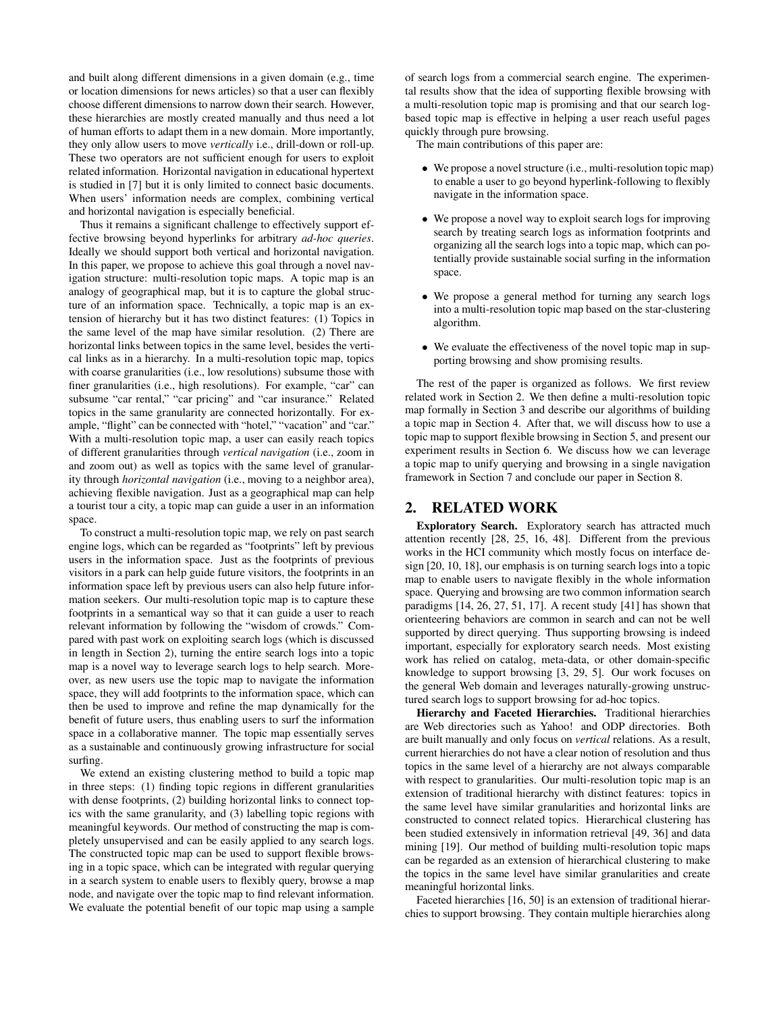and built along different dimensions in a given domain (e.g., time or location dimensions for news articles) so that a user can flexibly choose different dimensions to narrow down their search. However, these hierarchies are mostly created manually and thus need a lot of human efforts to adapt them in a new domain. More importantly, they only allow users to move *vertically* i.e., drill-down or roll-up. These two operators are not sufficient enough for users to exploit related information. Horizontal navigation in educational hypertext is studied in [7] but it is only limited to connect basic documents. When users' information needs are complex, combining vertical and horizontal navigation is especially beneficial.

Thus it remains a significant challenge to effectively support effective browsing beyond hyperlinks for arbitrary *ad-hoc queries*. Ideally we should support both vertical and horizontal navigation. In this paper, we propose to achieve this goal through a novel navigation structure: multi-resolution topic maps. A topic map is an analogy of geographical map, but it is to capture the global structure of an information space. Technically, a topic map is an extension of hierarchy but it has two distinct features: (1) Topics in the same level of the map have similar resolution. (2) There are horizontal links between topics in the same level, besides the vertical links as in a hierarchy. In a multi-resolution topic map, topics with coarse granularities (i.e., low resolutions) subsume those with finer granularities (i.e., high resolutions). For example, "car" can subsume "car rental," "car pricing" and "car insurance." Related topics in the same granularity are connected horizontally. For example, "flight" can be connected with "hotel," "vacation" and "car." With a multi-resolution topic map, a user can easily reach topics of different granularities through *vertical navigation* (i.e., zoom in and zoom out) as well as topics with the same level of granularity through *horizontal navigation* (i.e., moving to a neighbor area), achieving flexible navigation. Just as a geographical map can help a tourist tour a city, a topic map can guide a user in an information space.

To construct a multi-resolution topic map, we rely on past search engine logs, which can be regarded as "footprints" left by previous users in the information space. Just as the footprints of previous visitors in a park can help guide future visitors, the footprints in an information space left by previous users can also help future information seekers. Our multi-resolution topic map is to capture these footprints in a semantical way so that it can guide a user to reach relevant information by following the "wisdom of crowds." Compared with past work on exploiting search logs (which is discussed in length in Section 2), turning the entire search logs into a topic map is a novel way to leverage search logs to help search. Moreover, as new users use the topic map to navigate the information space, they will add footprints to the information space, which can then be used to improve and refine the map dynamically for the benefit of future users, thus enabling users to surf the information space in a collaborative manner. The topic map essentially serves as a sustainable and continuously growing infrastructure for social surfing.

We extend an existing clustering method to build a topic map in three steps: (1) finding topic regions in different granularities with dense footprints, (2) building horizontal links to connect topics with the same granularity, and (3) labelling topic regions with meaningful keywords. Our method of constructing the map is completely unsupervised and can be easily applied to any search logs. The constructed topic map can be used to support flexible browsing in a topic space, which can be integrated with regular querying in a search system to enable users to flexibly query, browse a map node, and navigate over the topic map to find relevant information. We evaluate the potential benefit of our topic map using a sample of search logs from a commercial search engine. The experimental results show that the idea of supporting flexible browsing with a multi-resolution topic map is promising and that our search logbased topic map is effective in helping a user reach useful pages quickly through pure browsing.

The main contributions of this paper are:

- We propose a novel structure (i.e., multi-resolution topic map) to enable a user to go beyond hyperlink-following to flexibly navigate in the information space.
- We propose a novel way to exploit search logs for improving search by treating search logs as information footprints and organizing all the search logs into a topic map, which can potentially provide sustainable social surfing in the information space.
- We propose a general method for turning any search logs into a multi-resolution topic map based on the star-clustering algorithm.
- We evaluate the effectiveness of the novel topic map in supporting browsing and show promising results.

The rest of the paper is organized as follows. We first review related work in Section 2. We then define a multi-resolution topic map formally in Section 3 and describe our algorithms of building a topic map in Section 4. After that, we will discuss how to use a topic map to support flexible browsing in Section 5, and present our experiment results in Section 6. We discuss how we can leverage a topic map to unify querying and browsing in a single navigation framework in Section 7 and conclude our paper in Section 8.

# **2. RELATED WORK**

**Exploratory Search.** Exploratory search has attracted much attention recently [28, 25, 16, 48]. Different from the previous works in the HCI community which mostly focus on interface design [20, 10, 18], our emphasis is on turning search logs into a topic map to enable users to navigate flexibly in the whole information space. Querying and browsing are two common information search paradigms [14, 26, 27, 51, 17]. A recent study [41] has shown that orienteering behaviors are common in search and can not be well supported by direct querying. Thus supporting browsing is indeed important, especially for exploratory search needs. Most existing work has relied on catalog, meta-data, or other domain-specific knowledge to support browsing [3, 29, 5]. Our work focuses on the general Web domain and leverages naturally-growing unstructured search logs to support browsing for ad-hoc topics.

**Hierarchy and Faceted Hierarchies.** Traditional hierarchies are Web directories such as Yahoo! and ODP directories. Both are built manually and only focus on *vertical* relations. As a result, current hierarchies do not have a clear notion of resolution and thus topics in the same level of a hierarchy are not always comparable with respect to granularities. Our multi-resolution topic map is an extension of traditional hierarchy with distinct features: topics in the same level have similar granularities and horizontal links are constructed to connect related topics. Hierarchical clustering has been studied extensively in information retrieval [49, 36] and data mining [19]. Our method of building multi-resolution topic maps can be regarded as an extension of hierarchical clustering to make the topics in the same level have similar granularities and create meaningful horizontal links.

Faceted hierarchies [16, 50] is an extension of traditional hierarchies to support browsing. They contain multiple hierarchies along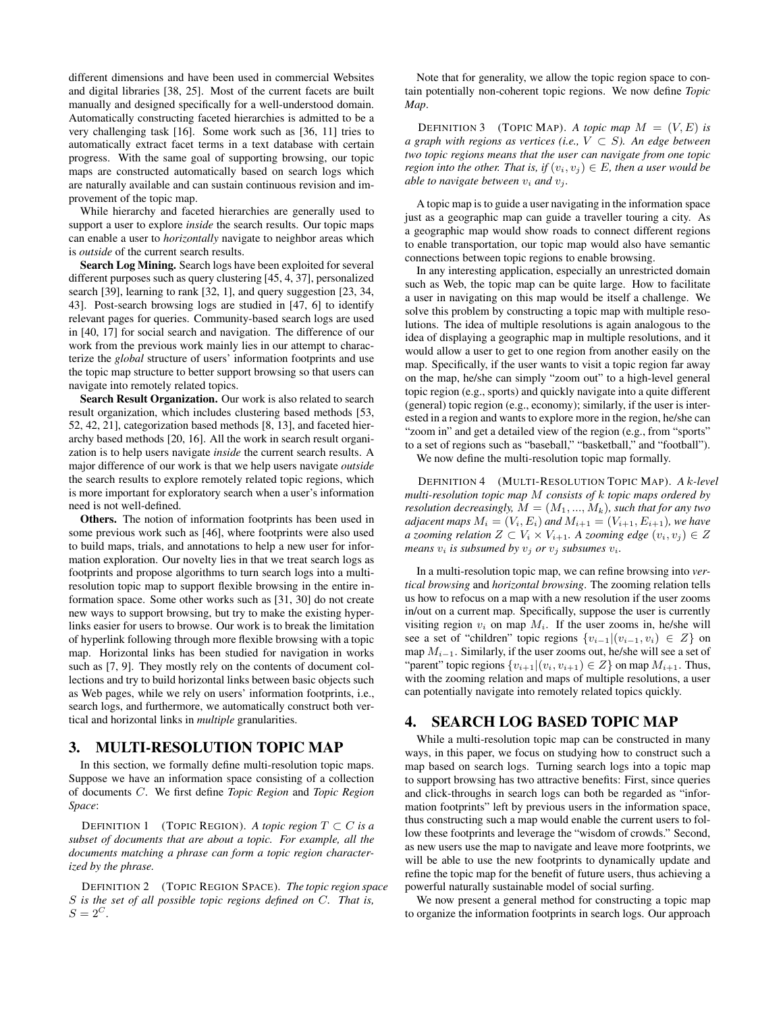different dimensions and have been used in commercial Websites and digital libraries [38, 25]. Most of the current facets are built manually and designed specifically for a well-understood domain. Automatically constructing faceted hierarchies is admitted to be a very challenging task [16]. Some work such as [36, 11] tries to automatically extract facet terms in a text database with certain progress. With the same goal of supporting browsing, our topic maps are constructed automatically based on search logs which are naturally available and can sustain continuous revision and improvement of the topic map.

While hierarchy and faceted hierarchies are generally used to support a user to explore *inside* the search results. Our topic maps can enable a user to *horizontally* navigate to neighbor areas which is *outside* of the current search results.

**Search Log Mining.** Search logs have been exploited for several different purposes such as query clustering [45, 4, 37], personalized search [39], learning to rank [32, 1], and query suggestion [23, 34, 43]. Post-search browsing logs are studied in [47, 6] to identify relevant pages for queries. Community-based search logs are used in [40, 17] for social search and navigation. The difference of our work from the previous work mainly lies in our attempt to characterize the *global* structure of users' information footprints and use the topic map structure to better support browsing so that users can navigate into remotely related topics.

**Search Result Organization.** Our work is also related to search result organization, which includes clustering based methods [53, 52, 42, 21], categorization based methods [8, 13], and faceted hierarchy based methods [20, 16]. All the work in search result organization is to help users navigate *inside* the current search results. A major difference of our work is that we help users navigate *outside* the search results to explore remotely related topic regions, which is more important for exploratory search when a user's information need is not well-defined.

**Others.** The notion of information footprints has been used in some previous work such as [46], where footprints were also used to build maps, trials, and annotations to help a new user for information exploration. Our novelty lies in that we treat search logs as footprints and propose algorithms to turn search logs into a multiresolution topic map to support flexible browsing in the entire information space. Some other works such as [31, 30] do not create new ways to support browsing, but try to make the existing hyperlinks easier for users to browse. Our work is to break the limitation of hyperlink following through more flexible browsing with a topic map. Horizontal links has been studied for navigation in works such as [7, 9]. They mostly rely on the contents of document collections and try to build horizontal links between basic objects such as Web pages, while we rely on users' information footprints, i.e., search logs, and furthermore, we automatically construct both vertical and horizontal links in *multiple* granularities.

# **3. MULTI-RESOLUTION TOPIC MAP**

In this section, we formally define multi-resolution topic maps. Suppose we have an information space consisting of a collection of documents C. We first define *Topic Region* and *Topic Region Space*:

**DEFINITION 1** (TOPIC REGION). A topic region  $T \subset C$  is a *subset of documents that are about a topic. For example, all the documents matching a phrase can form a topic region characterized by the phrase.*

DEFINITION 2 (TOPIC REGION SPACE). *The topic region space* S *is the set of all possible topic regions defined on* C*. That is,*  $S = 2^C$ .

Note that for generality, we allow the topic region space to contain potentially non-coherent topic regions. We now define *Topic Map*.

**DEFINITION 3** (TOPIC MAP). A *topic map*  $M = (V, E)$  *is a* graph with regions as vertices (i.e.,  $V \subset S$ ). An edge between *two topic regions means that the user can navigate from one topic region into the other. That is, if*  $(v_i, v_j) \in E$ *, then a user would be able to navigate between*  $v_i$  *and*  $v_j$ *.* 

A topic map isto guide a user navigating in the information space just as a geographic map can guide a traveller touring a city. As a geographic map would show roads to connect different regions to enable transportation, our topic map would also have semantic connections between topic regions to enable browsing.

In any interesting application, especially an unrestricted domain such as Web, the topic map can be quite large. How to facilitate a user in navigating on this map would be itself a challenge. We solve this problem by constructing a topic map with multiple resolutions. The idea of multiple resolutions is again analogous to the idea of displaying a geographic map in multiple resolutions, and it would allow a user to get to one region from another easily on the map. Specifically, if the user wants to visit a topic region far away on the map, he/she can simply "zoom out" to a high-level general topic region (e.g., sports) and quickly navigate into a quite different (general) topic region (e.g., economy); similarly, if the user is interested in a region and wants to explore more in the region, he/she can "zoom in" and get a detailed view of the region (e.g., from "sports" to a set of regions such as "baseball," "basketball," and "football").

We now define the multi-resolution topic map formally.

DEFINITION 4 (MULTI-RESOLUTION TOPIC MAP). *A* k*-level multi-resolution topic map* M *consists of* k *topic maps ordered by resolution decreasingly,*  $M = (M_1, ..., M_k)$ *, such that for any two adjacent maps*  $M_i = (V_i, E_i)$  *and*  $M_{i+1} = (V_{i+1}, E_{i+1})$ *, we have a zooming relation*  $Z \subset V_i \times V_{i+1}$ *. A zooming edge*  $(v_i, v_j) \in Z$ *means*  $v_i$  *is subsumed by*  $v_j$  *or*  $v_j$  *subsumes*  $v_i$ *.* 

In a multi-resolution topic map, we can refine browsing into *vertical browsing* and *horizontal browsing*. The zooming relation tells us how to refocus on a map with a new resolution if the user zooms in/out on a current map. Specifically, suppose the user is currently visiting region  $v_i$  on map  $M_i$ . If the user zooms in, he/she will see a set of "children" topic regions  $\{v_{i-1}|(v_{i-1}, v_i) \in Z\}$  on map  $M_{i-1}$ . Similarly, if the user zooms out, he/she will see a set of "parent" topic regions  $\{v_{i+1}|(v_i, v_{i+1}) \in Z\}$  on map  $M_{i+1}$ . Thus, with the zooming relation and maps of multiple resolutions, a user can potentially navigate into remotely related topics quickly.

# **4. SEARCH LOG BASED TOPIC MAP**

While a multi-resolution topic map can be constructed in many ways, in this paper, we focus on studying how to construct such a map based on search logs. Turning search logs into a topic map to support browsing has two attractive benefits: First, since queries and click-throughs in search logs can both be regarded as "information footprints" left by previous users in the information space, thus constructing such a map would enable the current users to follow these footprints and leverage the "wisdom of crowds." Second, as new users use the map to navigate and leave more footprints, we will be able to use the new footprints to dynamically update and refine the topic map for the benefit of future users, thus achieving a powerful naturally sustainable model of social surfing.

We now present a general method for constructing a topic map to organize the information footprints in search logs. Our approach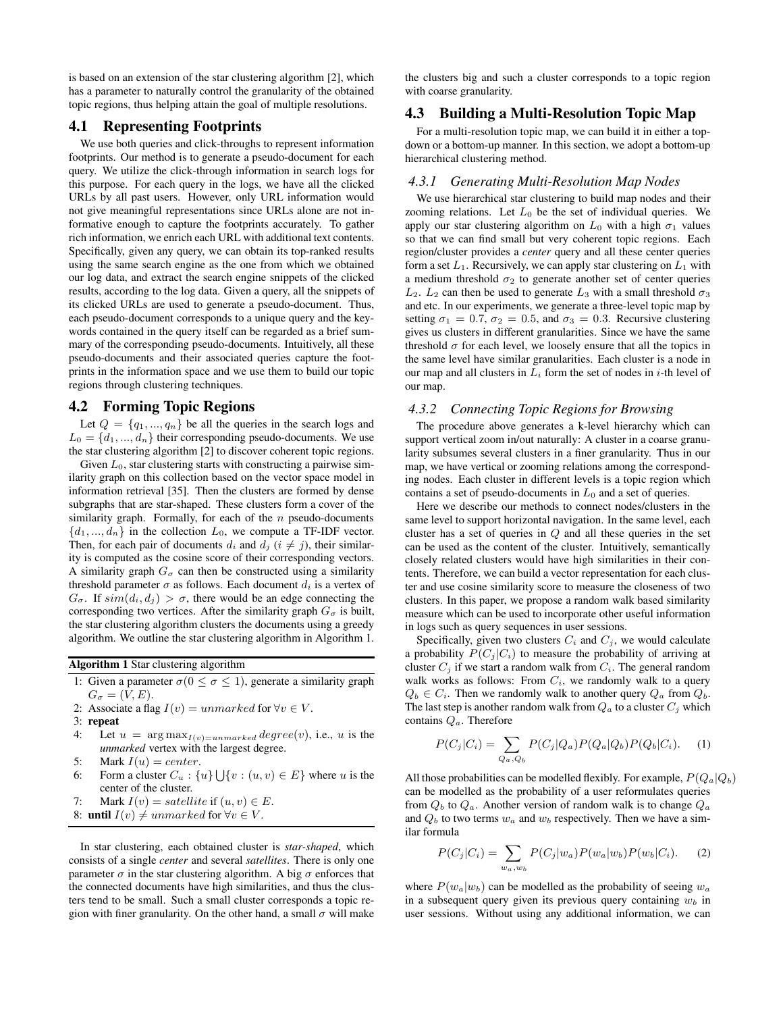is based on an extension of the star clustering algorithm [2], which has a parameter to naturally control the granularity of the obtained topic regions, thus helping attain the goal of multiple resolutions.

# **4.1 Representing Footprints**

We use both queries and click-throughs to represent information footprints. Our method is to generate a pseudo-document for each query. We utilize the click-through information in search logs for this purpose. For each query in the logs, we have all the clicked URLs by all past users. However, only URL information would not give meaningful representations since URLs alone are not informative enough to capture the footprints accurately. To gather rich information, we enrich each URL with additional text contents. Specifically, given any query, we can obtain its top-ranked results using the same search engine as the one from which we obtained our log data, and extract the search engine snippets of the clicked results, according to the log data. Given a query, all the snippets of its clicked URLs are used to generate a pseudo-document. Thus, each pseudo-document corresponds to a unique query and the keywords contained in the query itself can be regarded as a brief summary of the corresponding pseudo-documents. Intuitively, all these pseudo-documents and their associated queries capture the footprints in the information space and we use them to build our topic regions through clustering techniques.

# **4.2 Forming Topic Regions**

Let  $Q = \{q_1, ..., q_n\}$  be all the queries in the search logs and  $L_0 = \{d_1, ..., d_n\}$  their corresponding pseudo-documents. We use the star clustering algorithm [2] to discover coherent topic regions.

Given  $L_0$ , star clustering starts with constructing a pairwise similarity graph on this collection based on the vector space model in information retrieval [35]. Then the clusters are formed by dense subgraphs that are star-shaped. These clusters form a cover of the similarity graph. Formally, for each of the  $n$  pseudo-documents  $\{d_1, ..., d_n\}$  in the collection  $L_0$ , we compute a TF-IDF vector. Then, for each pair of documents  $d_i$  and  $d_j$  ( $i \neq j$ ), their similarity is computed as the cosine score of their corresponding vectors. A similarity graph  $G_{\sigma}$  can then be constructed using a similarity threshold parameter  $\sigma$  as follows. Each document  $d_i$  is a vertex of  $G_{\sigma}$ . If  $sim(d_i, d_j) > \sigma$ , there would be an edge connecting the corresponding two vertices. After the similarity graph  $G_{\sigma}$  is built, the star clustering algorithm clusters the documents using a greedy algorithm. We outline the star clustering algorithm in Algorithm 1.

**Algorithm 1** Star clustering algorithm

- 1: Given a parameter  $\sigma(0 \le \sigma \le 1)$ , generate a similarity graph  $G_{\sigma} = (V, E).$
- 2: Associate a flag  $I(v) = unmarked$  for  $\forall v \in V$ .
- 3: **repeat**
- 4: Let  $u = \arg \max_{I(v)=unmarked} degree(v)$ , i.e., u is the *unmarked* vertex with the largest degree.
- 5: Mark  $I(u) = center$ .
- 6: Form a cluster  $C_u$ :  $\{u\} \bigcup \{v : (u, v) \in E\}$  where u is the center of the cluster.
- 7: Mark  $I(v) = satellite$  if  $(u, v) \in E$ .
- 8: **until**  $I(v) \neq unmarked$  for  $\forall v \in V$ .

In star clustering, each obtained cluster is *star-shaped*, which consists of a single *center* and several *satellites*. There is only one parameter  $\sigma$  in the star clustering algorithm. A big  $\sigma$  enforces that the connected documents have high similarities, and thus the clusters tend to be small. Such a small cluster corresponds a topic region with finer granularity. On the other hand, a small  $\sigma$  will make the clusters big and such a cluster corresponds to a topic region with coarse granularity.

# **4.3 Building a Multi-Resolution Topic Map**

For a multi-resolution topic map, we can build it in either a topdown or a bottom-up manner. In this section, we adopt a bottom-up hierarchical clustering method.

### *4.3.1 Generating Multi-Resolution Map Nodes*

We use hierarchical star clustering to build map nodes and their zooming relations. Let  $L_0$  be the set of individual queries. We apply our star clustering algorithm on  $L_0$  with a high  $\sigma_1$  values so that we can find small but very coherent topic regions. Each region/cluster provides a *center* query and all these center queries form a set  $L_1$ . Recursively, we can apply star clustering on  $L_1$  with a medium threshold  $\sigma_2$  to generate another set of center queries  $L_2$ .  $L_2$  can then be used to generate  $L_3$  with a small threshold  $\sigma_3$ and etc. In our experiments, we generate a three-level topic map by setting  $\sigma_1 = 0.7$ ,  $\sigma_2 = 0.5$ , and  $\sigma_3 = 0.3$ . Recursive clustering gives us clusters in different granularities. Since we have the same threshold  $\sigma$  for each level, we loosely ensure that all the topics in the same level have similar granularities. Each cluster is a node in our map and all clusters in  $L_i$  form the set of nodes in *i*-th level of our map.

### *4.3.2 Connecting Topic Regions for Browsing*

The procedure above generates a k-level hierarchy which can support vertical zoom in/out naturally: A cluster in a coarse granularity subsumes several clusters in a finer granularity. Thus in our map, we have vertical or zooming relations among the corresponding nodes. Each cluster in different levels is a topic region which contains a set of pseudo-documents in  $L_0$  and a set of queries.

Here we describe our methods to connect nodes/clusters in the same level to support horizontal navigation. In the same level, each cluster has a set of queries in Q and all these queries in the set can be used as the content of the cluster. Intuitively, semantically closely related clusters would have high similarities in their contents. Therefore, we can build a vector representation for each cluster and use cosine similarity score to measure the closeness of two clusters. In this paper, we propose a random walk based similarity measure which can be used to incorporate other useful information in logs such as query sequences in user sessions.

Specifically, given two clusters  $C_i$  and  $C_j$ , we would calculate a probability  $P(C_j | C_i)$  to measure the probability of arriving at cluster  $C_i$  if we start a random walk from  $C_i$ . The general random walk works as follows: From  $C_i$ , we randomly walk to a query  $Q_b \in C_i$ . Then we randomly walk to another query  $Q_a$  from  $Q_b$ . The last step is another random walk from  $Q_a$  to a cluster  $C_i$  which contains  $Q_a$ . Therefore

$$
P(C_j|C_i) = \sum_{Q_a, Q_b} P(C_j|Q_a) P(Q_a|Q_b) P(Q_b|C_i).
$$
 (1)

All those probabilities can be modelled flexibly. For example,  $P(Q_a|Q_b)$ can be modelled as the probability of a user reformulates queries from  $Q_b$  to  $Q_a$ . Another version of random walk is to change  $Q_a$ and  $Q_b$  to two terms  $w_a$  and  $w_b$  respectively. Then we have a similar formula

$$
P(C_j|C_i) = \sum_{w_a, w_b} P(C_j|w_a) P(w_a|w_b) P(w_b|C_i).
$$
 (2)

where  $P(w_a|w_b)$  can be modelled as the probability of seeing  $w_a$ in a subsequent query given its previous query containing  $w_b$  in user sessions. Without using any additional information, we can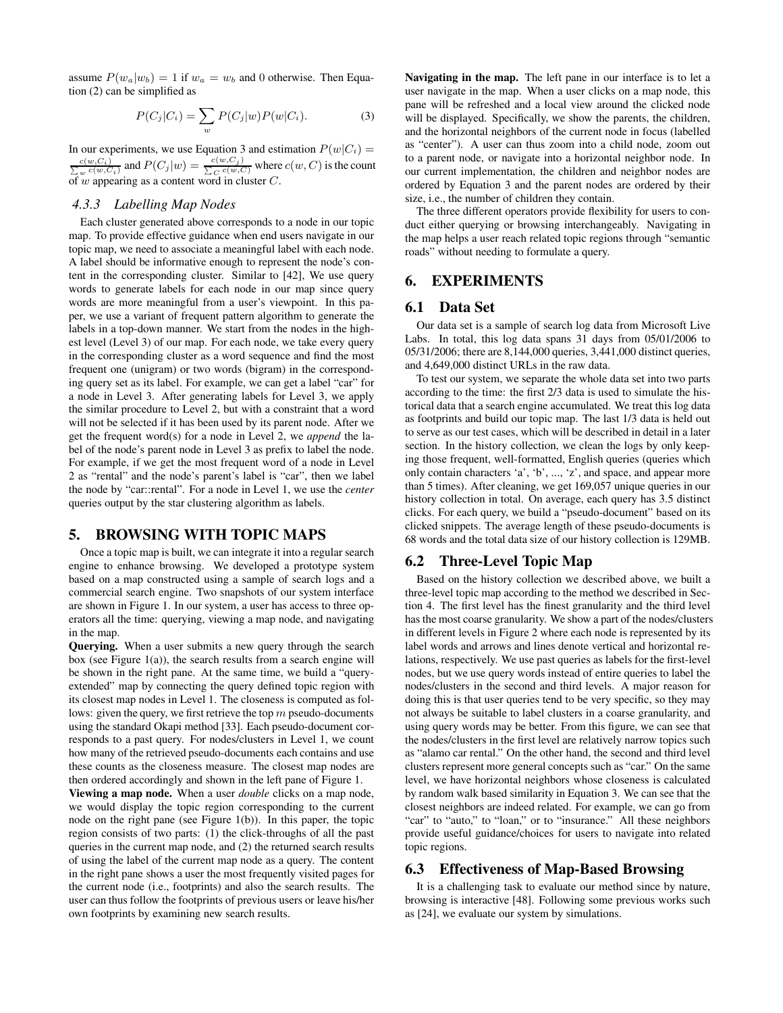assume  $P(w_a|w_b) = 1$  if  $w_a = w_b$  and 0 otherwise. Then Equation (2) can be simplified as

$$
P(C_j|C_i) = \sum_w P(C_j|w)P(w|C_i).
$$
 (3)

In our experiments, we use Equation 3 and estimation  $P(w|C_i) =$  $\frac{c(w,C_i)}{\sum_w c(w,C_i)}$  and  $P(C_j|w) = \frac{c(w,C_j)}{\sum_C c(w,C)}$  where  $c(w,C)$  is the count of  $w$  appearing as a content word in cluster  $C$ .

### *4.3.3 Labelling Map Nodes*

Each cluster generated above corresponds to a node in our topic map. To provide effective guidance when end users navigate in our topic map, we need to associate a meaningful label with each node. A label should be informative enough to represent the node's content in the corresponding cluster. Similar to [42], We use query words to generate labels for each node in our map since query words are more meaningful from a user's viewpoint. In this paper, we use a variant of frequent pattern algorithm to generate the labels in a top-down manner. We start from the nodes in the highest level (Level 3) of our map. For each node, we take every query in the corresponding cluster as a word sequence and find the most frequent one (unigram) or two words (bigram) in the corresponding query set as its label. For example, we can get a label "car" for a node in Level 3. After generating labels for Level 3, we apply the similar procedure to Level 2, but with a constraint that a word will not be selected if it has been used by its parent node. After we get the frequent word(s) for a node in Level 2, we *append* the label of the node's parent node in Level 3 as prefix to label the node. For example, if we get the most frequent word of a node in Level 2 as "rental" and the node's parent's label is "car", then we label the node by "car::rental". For a node in Level 1, we use the *center* queries output by the star clustering algorithm as labels.

# **5. BROWSING WITH TOPIC MAPS**

Once a topic map is built, we can integrate it into a regular search engine to enhance browsing. We developed a prototype system based on a map constructed using a sample of search logs and a commercial search engine. Two snapshots of our system interface are shown in Figure 1. In our system, a user has access to three operators all the time: querying, viewing a map node, and navigating in the map.

**Querying.** When a user submits a new query through the search box (see Figure  $1(a)$ ), the search results from a search engine will be shown in the right pane. At the same time, we build a "queryextended" map by connecting the query defined topic region with its closest map nodes in Level 1. The closeness is computed as follows: given the query, we first retrieve the top  $m$  pseudo-documents using the standard Okapi method [33]. Each pseudo-document corresponds to a past query. For nodes/clusters in Level 1, we count how many of the retrieved pseudo-documents each contains and use these counts as the closeness measure. The closest map nodes are then ordered accordingly and shown in the left pane of Figure 1.

**Viewing a map node.** When a user *double* clicks on a map node, we would display the topic region corresponding to the current node on the right pane (see Figure 1(b)). In this paper, the topic region consists of two parts: (1) the click-throughs of all the past queries in the current map node, and (2) the returned search results of using the label of the current map node as a query. The content in the right pane shows a user the most frequently visited pages for the current node (i.e., footprints) and also the search results. The user can thus follow the footprints of previous users or leave his/her own footprints by examining new search results.

**Navigating in the map.** The left pane in our interface is to let a user navigate in the map. When a user clicks on a map node, this pane will be refreshed and a local view around the clicked node will be displayed. Specifically, we show the parents, the children, and the horizontal neighbors of the current node in focus (labelled as "center"). A user can thus zoom into a child node, zoom out to a parent node, or navigate into a horizontal neighbor node. In our current implementation, the children and neighbor nodes are ordered by Equation 3 and the parent nodes are ordered by their size, i.e., the number of children they contain.

The three different operators provide flexibility for users to conduct either querying or browsing interchangeably. Navigating in the map helps a user reach related topic regions through "semantic roads" without needing to formulate a query.

# **6. EXPERIMENTS**

# **6.1 Data Set**

Our data set is a sample of search log data from Microsoft Live Labs. In total, this log data spans 31 days from 05/01/2006 to 05/31/2006; there are 8,144,000 queries, 3,441,000 distinct queries, and 4,649,000 distinct URLs in the raw data.

To test our system, we separate the whole data set into two parts according to the time: the first 2/3 data is used to simulate the historical data that a search engine accumulated. We treat this log data as footprints and build our topic map. The last 1/3 data is held out to serve as our test cases, which will be described in detail in a later section. In the history collection, we clean the logs by only keeping those frequent, well-formatted, English queries (queries which only contain characters 'a', 'b', ..., 'z', and space, and appear more than 5 times). After cleaning, we get 169,057 unique queries in our history collection in total. On average, each query has 3.5 distinct clicks. For each query, we build a "pseudo-document" based on its clicked snippets. The average length of these pseudo-documents is 68 words and the total data size of our history collection is 129MB.

# **6.2 Three-Level Topic Map**

Based on the history collection we described above, we built a three-level topic map according to the method we described in Section 4. The first level has the finest granularity and the third level has the most coarse granularity. We show a part of the nodes/clusters in different levels in Figure 2 where each node is represented by its label words and arrows and lines denote vertical and horizontal relations, respectively. We use past queries as labels for the first-level nodes, but we use query words instead of entire queries to label the nodes/clusters in the second and third levels. A major reason for doing this is that user queries tend to be very specific, so they may not always be suitable to label clusters in a coarse granularity, and using query words may be better. From this figure, we can see that the nodes/clusters in the first level are relatively narrow topics such as "alamo car rental." On the other hand, the second and third level clusters represent more general concepts such as "car." On the same level, we have horizontal neighbors whose closeness is calculated by random walk based similarity in Equation 3. We can see that the closest neighbors are indeed related. For example, we can go from "car" to "auto," to "loan," or to "insurance." All these neighbors provide useful guidance/choices for users to navigate into related topic regions.

# **6.3 Effectiveness of Map-Based Browsing**

It is a challenging task to evaluate our method since by nature, browsing is interactive [48]. Following some previous works such as [24], we evaluate our system by simulations.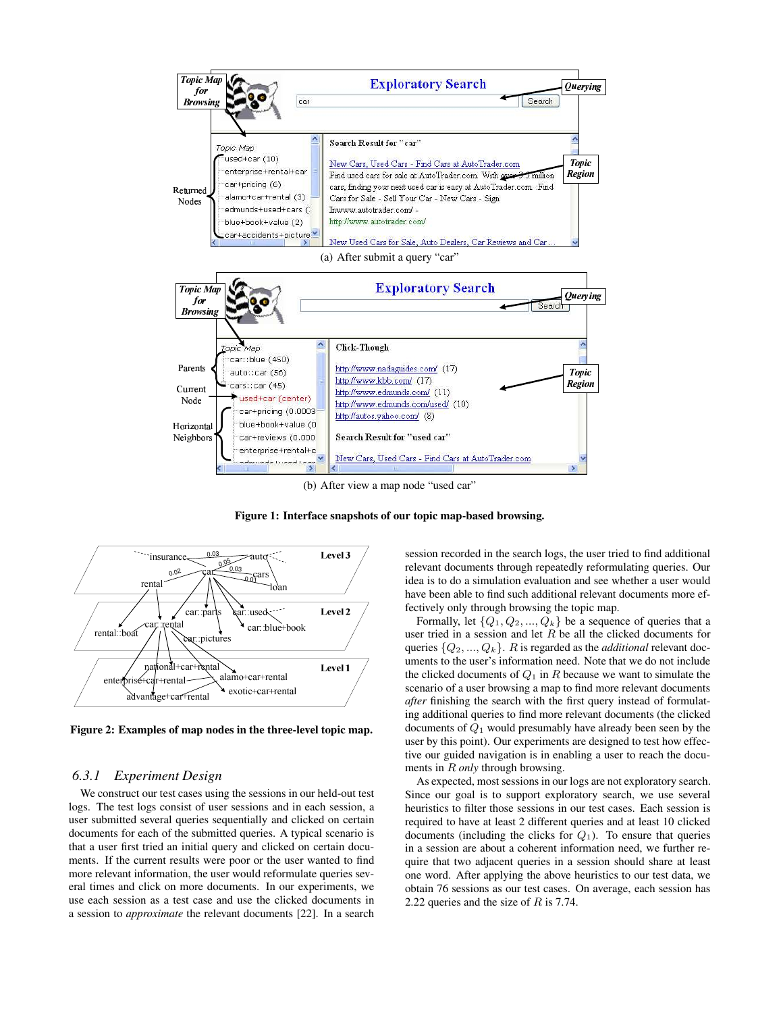

**Figure 1: Interface snapshots of our topic map-based browsing.**



**Figure 2: Examples of map nodes in the three-level topic map.**

### *6.3.1 Experiment Design*

We construct our test cases using the sessions in our held-out test logs. The test logs consist of user sessions and in each session, a user submitted several queries sequentially and clicked on certain documents for each of the submitted queries. A typical scenario is that a user first tried an initial query and clicked on certain documents. If the current results were poor or the user wanted to find more relevant information, the user would reformulate queries several times and click on more documents. In our experiments, we use each session as a test case and use the clicked documents in a session to *approximate* the relevant documents [22]. In a search

session recorded in the search logs, the user tried to find additional relevant documents through repeatedly reformulating queries. Our idea is to do a simulation evaluation and see whether a user would have been able to find such additional relevant documents more effectively only through browsing the topic map.

Formally, let  $\{Q_1, Q_2, ..., Q_k\}$  be a sequence of queries that a user tried in a session and let  $R$  be all the clicked documents for queries  $\{Q_2, ..., Q_k\}$ . R is regarded as the *additional* relevant documents to the user's information need. Note that we do not include the clicked documents of  $Q_1$  in R because we want to simulate the scenario of a user browsing a map to find more relevant documents *after* finishing the search with the first query instead of formulating additional queries to find more relevant documents (the clicked documents of  $Q_1$  would presumably have already been seen by the user by this point). Our experiments are designed to test how effective our guided navigation is in enabling a user to reach the documents in R *only* through browsing.

As expected, most sessions in our logs are not exploratory search. Since our goal is to support exploratory search, we use several heuristics to filter those sessions in our test cases. Each session is required to have at least 2 different queries and at least 10 clicked documents (including the clicks for  $Q_1$ ). To ensure that queries in a session are about a coherent information need, we further require that two adjacent queries in a session should share at least one word. After applying the above heuristics to our test data, we obtain 76 sessions as our test cases. On average, each session has 2.22 queries and the size of  $R$  is 7.74.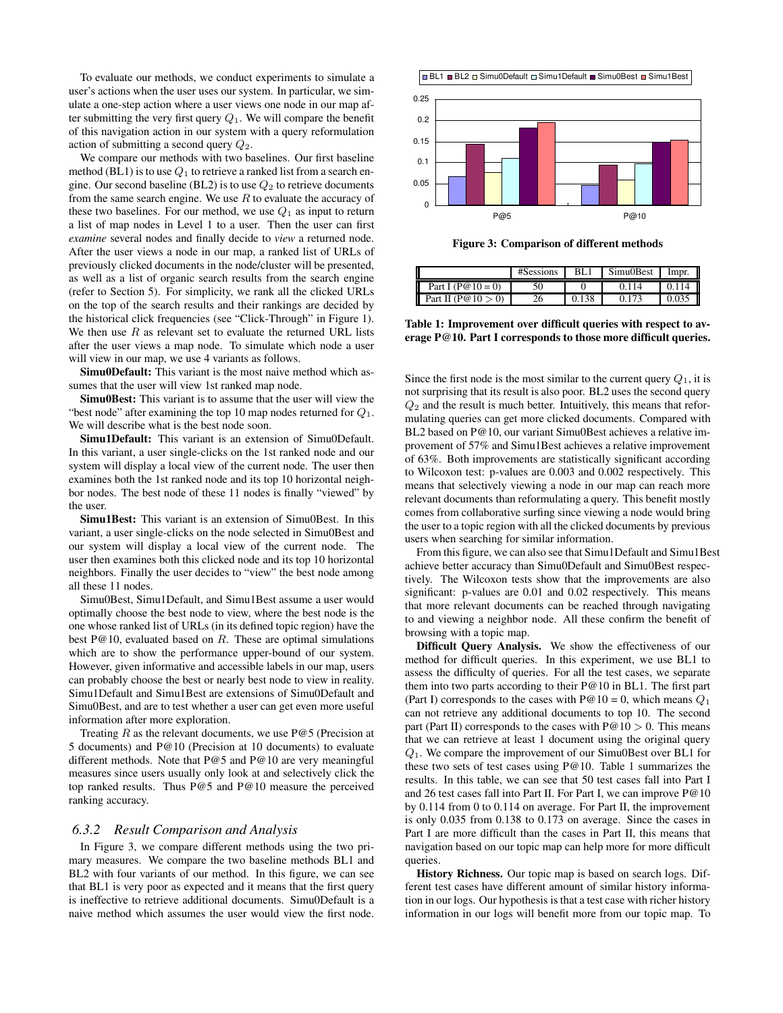To evaluate our methods, we conduct experiments to simulate a user's actions when the user uses our system. In particular, we simulate a one-step action where a user views one node in our map after submitting the very first query  $Q_1$ . We will compare the benefit of this navigation action in our system with a query reformulation action of submitting a second query  $Q_2$ .

We compare our methods with two baselines. Our first baseline method (BL1) is to use  $Q_1$  to retrieve a ranked list from a search engine. Our second baseline (BL2) is to use  $Q_2$  to retrieve documents from the same search engine. We use  $R$  to evaluate the accuracy of these two baselines. For our method, we use  $Q_1$  as input to return a list of map nodes in Level 1 to a user. Then the user can first *examine* several nodes and finally decide to *view* a returned node. After the user views a node in our map, a ranked list of URLs of previously clicked documents in the node/cluster will be presented, as well as a list of organic search results from the search engine (refer to Section 5). For simplicity, we rank all the clicked URLs on the top of the search results and their rankings are decided by the historical click frequencies (see "Click-Through" in Figure 1). We then use  $R$  as relevant set to evaluate the returned URL lists after the user views a map node. To simulate which node a user will view in our map, we use 4 variants as follows.

**Simu0Default:** This variant is the most naive method which assumes that the user will view 1st ranked map node.

**Simu0Best:** This variant is to assume that the user will view the "best node" after examining the top 10 map nodes returned for  $Q_1$ . We will describe what is the best node soon.

**Simu1Default:** This variant is an extension of Simu0Default. In this variant, a user single-clicks on the 1st ranked node and our system will display a local view of the current node. The user then examines both the 1st ranked node and its top 10 horizontal neighbor nodes. The best node of these 11 nodes is finally "viewed" by the user.

**Simu1Best:** This variant is an extension of Simu0Best. In this variant, a user single-clicks on the node selected in Simu0Best and our system will display a local view of the current node. The user then examines both this clicked node and its top 10 horizontal neighbors. Finally the user decides to "view" the best node among all these 11 nodes.

Simu0Best, Simu1Default, and Simu1Best assume a user would optimally choose the best node to view, where the best node is the one whose ranked list of URLs (in its defined topic region) have the best  $P@10$ , evaluated based on R. These are optimal simulations which are to show the performance upper-bound of our system. However, given informative and accessible labels in our map, users can probably choose the best or nearly best node to view in reality. Simu1Default and Simu1Best are extensions of Simu0Default and Simu0Best, and are to test whether a user can get even more useful information after more exploration.

Treating  $R$  as the relevant documents, we use P@5 (Precision at 5 documents) and P@10 (Precision at 10 documents) to evaluate different methods. Note that P@5 and P@10 are very meaningful measures since users usually only look at and selectively click the top ranked results. Thus P@5 and P@10 measure the perceived ranking accuracy.

### *6.3.2 Result Comparison and Analysis*

In Figure 3, we compare different methods using the two primary measures. We compare the two baseline methods BL1 and BL2 with four variants of our method. In this figure, we can see that BL1 is very poor as expected and it means that the first query is ineffective to retrieve additional documents. Simu0Default is a naive method which assumes the user would view the first node.





**Figure 3: Comparison of different methods**

|                        | #Sessions | BL.   | Simu0Best | Impr. |
|------------------------|-----------|-------|-----------|-------|
| Part I ( $P@10 = 0$ )  |           |       | 0.114     | 0.114 |
| Part II ( $P@10 > 0$ ) |           | 0.138 | 0.173     | 0.035 |

**Table 1: Improvement over difficult queries with respect to average P@10. Part I corresponds to those more difficult queries.**

Since the first node is the most similar to the current query  $Q_1$ , it is not surprising that its result is also poor. BL2 uses the second query  $Q<sub>2</sub>$  and the result is much better. Intuitively, this means that reformulating queries can get more clicked documents. Compared with BL2 based on P@10, our variant Simu0Best achieves a relative improvement of 57% and Simu1Best achieves a relative improvement of 63%. Both improvements are statistically significant according to Wilcoxon test: p-values are 0.003 and 0.002 respectively. This means that selectively viewing a node in our map can reach more relevant documents than reformulating a query. This benefit mostly comes from collaborative surfing since viewing a node would bring the user to a topic region with all the clicked documents by previous users when searching for similar information.

From this figure, we can also see that Simu1Default and Simu1Best achieve better accuracy than Simu0Default and Simu0Best respectively. The Wilcoxon tests show that the improvements are also significant: p-values are 0.01 and 0.02 respectively. This means that more relevant documents can be reached through navigating to and viewing a neighbor node. All these confirm the benefit of browsing with a topic map.

**Difficult Query Analysis.** We show the effectiveness of our method for difficult queries. In this experiment, we use BL1 to assess the difficulty of queries. For all the test cases, we separate them into two parts according to their P@10 in BL1. The first part (Part I) corresponds to the cases with  $P@10 = 0$ , which means  $Q_1$ can not retrieve any additional documents to top 10. The second part (Part II) corresponds to the cases with  $P@10 > 0$ . This means that we can retrieve at least 1 document using the original query Q1. We compare the improvement of our Simu0Best over BL1 for these two sets of test cases using P@10. Table 1 summarizes the results. In this table, we can see that 50 test cases fall into Part I and 26 test cases fall into Part II. For Part I, we can improve P@10 by 0.114 from 0 to 0.114 on average. For Part II, the improvement is only 0.035 from 0.138 to 0.173 on average. Since the cases in Part I are more difficult than the cases in Part II, this means that navigation based on our topic map can help more for more difficult queries.

**History Richness.** Our topic map is based on search logs. Different test cases have different amount of similar history information in our logs. Our hypothesis isthat a test case with richer history information in our logs will benefit more from our topic map. To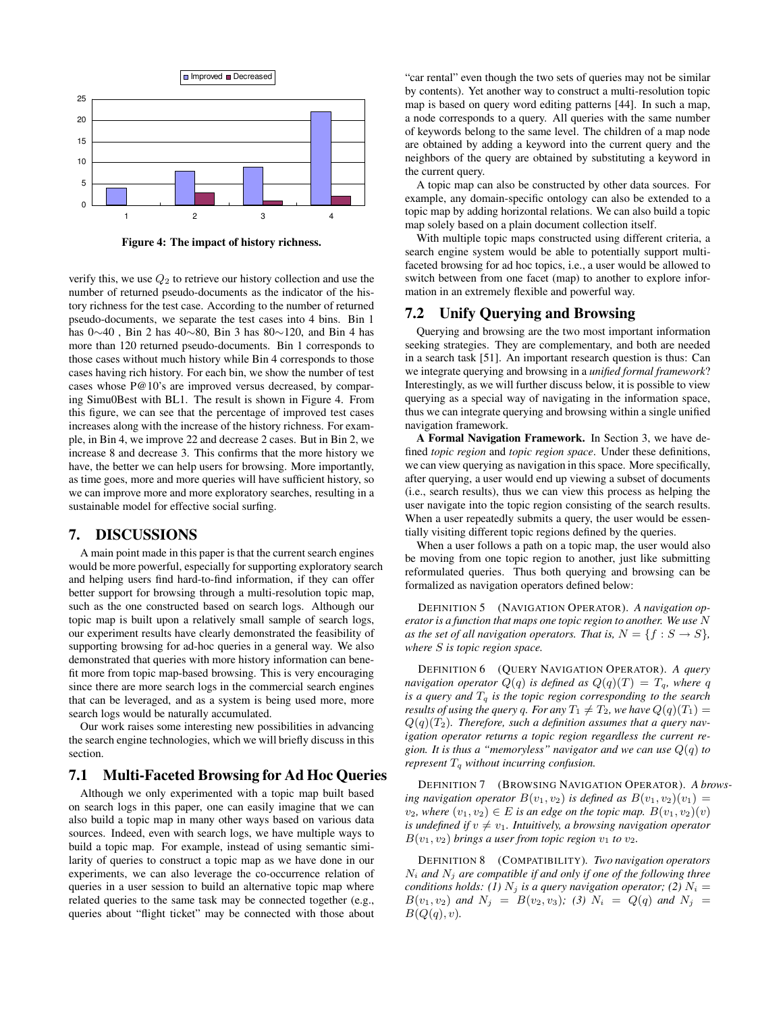

**Figure 4: The impact of history richness.**

verify this, we use  $Q_2$  to retrieve our history collection and use the number of returned pseudo-documents as the indicator of the history richness for the test case. According to the number of returned pseudo-documents, we separate the test cases into 4 bins. Bin 1 has 0∼40 , Bin 2 has 40∼80, Bin 3 has 80∼120, and Bin 4 has more than 120 returned pseudo-documents. Bin 1 corresponds to those cases without much history while Bin 4 corresponds to those cases having rich history. For each bin, we show the number of test cases whose P@10's are improved versus decreased, by comparing Simu0Best with BL1. The result is shown in Figure 4. From this figure, we can see that the percentage of improved test cases increases along with the increase of the history richness. For example, in Bin 4, we improve 22 and decrease 2 cases. But in Bin 2, we increase 8 and decrease 3. This confirms that the more history we have, the better we can help users for browsing. More importantly, as time goes, more and more queries will have sufficient history, so we can improve more and more exploratory searches, resulting in a sustainable model for effective social surfing.

# **7. DISCUSSIONS**

A main point made in this paper is that the current search engines would be more powerful, especially for supporting exploratory search and helping users find hard-to-find information, if they can offer better support for browsing through a multi-resolution topic map, such as the one constructed based on search logs. Although our topic map is built upon a relatively small sample of search logs, our experiment results have clearly demonstrated the feasibility of supporting browsing for ad-hoc queries in a general way. We also demonstrated that queries with more history information can benefit more from topic map-based browsing. This is very encouraging since there are more search logs in the commercial search engines that can be leveraged, and as a system is being used more, more search logs would be naturally accumulated.

Our work raises some interesting new possibilities in advancing the search engine technologies, which we will briefly discuss in this section.

### **7.1 Multi-Faceted Browsing for Ad Hoc Queries**

Although we only experimented with a topic map built based on search logs in this paper, one can easily imagine that we can also build a topic map in many other ways based on various data sources. Indeed, even with search logs, we have multiple ways to build a topic map. For example, instead of using semantic similarity of queries to construct a topic map as we have done in our experiments, we can also leverage the co-occurrence relation of queries in a user session to build an alternative topic map where related queries to the same task may be connected together (e.g., queries about "flight ticket" may be connected with those about

"car rental" even though the two sets of queries may not be similar by contents). Yet another way to construct a multi-resolution topic map is based on query word editing patterns [44]. In such a map, a node corresponds to a query. All queries with the same number of keywords belong to the same level. The children of a map node are obtained by adding a keyword into the current query and the neighbors of the query are obtained by substituting a keyword in the current query.

A topic map can also be constructed by other data sources. For example, any domain-specific ontology can also be extended to a topic map by adding horizontal relations. We can also build a topic map solely based on a plain document collection itself.

With multiple topic maps constructed using different criteria, a search engine system would be able to potentially support multifaceted browsing for ad hoc topics, i.e., a user would be allowed to switch between from one facet (map) to another to explore information in an extremely flexible and powerful way.

### **7.2 Unify Querying and Browsing**

Querying and browsing are the two most important information seeking strategies. They are complementary, and both are needed in a search task [51]. An important research question is thus: Can we integrate querying and browsing in a *unified formal framework*? Interestingly, as we will further discuss below, it is possible to view querying as a special way of navigating in the information space, thus we can integrate querying and browsing within a single unified navigation framework.

**A Formal Navigation Framework.** In Section 3, we have defined *topic region* and *topic region space*. Under these definitions, we can view querying as navigation in this space. More specifically, after querying, a user would end up viewing a subset of documents (i.e., search results), thus we can view this process as helping the user navigate into the topic region consisting of the search results. When a user repeatedly submits a query, the user would be essentially visiting different topic regions defined by the queries.

When a user follows a path on a topic map, the user would also be moving from one topic region to another, just like submitting reformulated queries. Thus both querying and browsing can be formalized as navigation operators defined below:

DEFINITION 5 (NAVIGATION OPERATOR). *A navigation operator is a function that maps one topic region to another. We use* N *as the set of all navigation operators. That is,*  $N = \{f : S \rightarrow S\}$ , *where* S *is topic region space.*

DEFINITION 6 (QUERY NAVIGATION OPERATOR). *A query navigation operator*  $Q(q)$  *is defined as*  $Q(q)(T) = T_q$ *, where* q *is a query and* T<sup>q</sup> *is the topic region corresponding to the search results of using the query q. For any*  $T_1 \neq T_2$ *, we have*  $Q(q)(T_1) =$  $Q(q)(T_2)$ . *Therefore, such a definition assumes that a query navigation operator returns a topic region regardless the current region. It is thus a "memoryless" navigator and we can use*  $Q(q)$  *to represent* T<sup>q</sup> *without incurring confusion.*

DEFINITION 7 (BROWSING NAVIGATION OPERATOR). *A browsing navigation operator*  $B(v_1, v_2)$  *is defined as*  $B(v_1, v_2)(v_1) =$  $v_2$ , where  $(v_1, v_2) \in E$  *is an edge on the topic map.*  $B(v_1, v_2)(v)$ *is undefined if*  $v \neq v_1$ *. Intuitively, a browsing navigation operator*  $B(v_1, v_2)$  *brings a user from topic region*  $v_1$  *to*  $v_2$ *.* 

DEFINITION 8 (COMPATIBILITY). *Two navigation operators*  $N_i$  *and*  $N_j$  *are compatible if and only if one of the following three conditions holds:* (1)  $N_j$  *is a query navigation operator;* (2)  $N_i =$  $B(v_1, v_2)$  and  $N_j = B(v_2, v_3)$ ; (3)  $N_i = Q(q)$  and  $N_j =$  $B(Q(q), v)$ .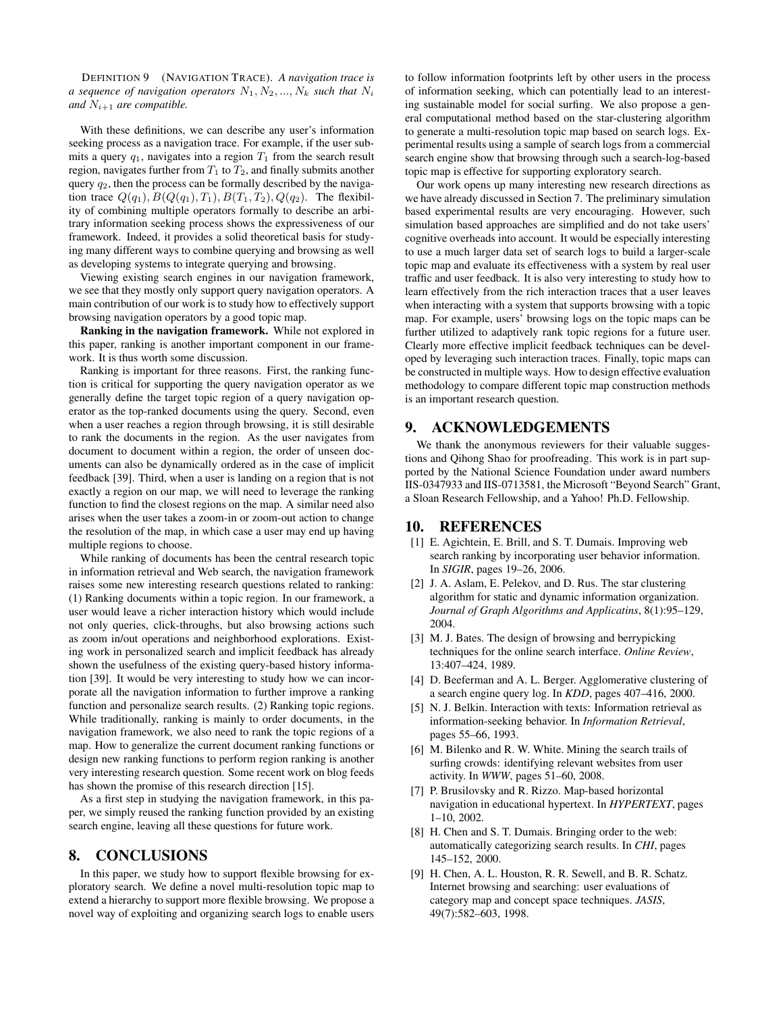DEFINITION 9 (NAVIGATION TRACE). *A navigation trace is a* sequence of navigation operators  $N_1, N_2, ..., N_k$  such that  $N_i$ *and*  $N_{i+1}$  *are compatible.* 

With these definitions, we can describe any user's information seeking process as a navigation trace. For example, if the user submits a query  $q_1$ , navigates into a region  $T_1$  from the search result region, navigates further from  $T_1$  to  $T_2$ , and finally submits another query  $q_2$ , then the process can be formally described by the navigation trace  $Q(q_1), B(Q(q_1), T_1), B(T_1, T_2), Q(q_2)$ . The flexibility of combining multiple operators formally to describe an arbitrary information seeking process shows the expressiveness of our framework. Indeed, it provides a solid theoretical basis for studying many different ways to combine querying and browsing as well as developing systems to integrate querying and browsing.

Viewing existing search engines in our navigation framework, we see that they mostly only support query navigation operators. A main contribution of our work is to study how to effectively support browsing navigation operators by a good topic map.

**Ranking in the navigation framework.** While not explored in this paper, ranking is another important component in our framework. It is thus worth some discussion.

Ranking is important for three reasons. First, the ranking function is critical for supporting the query navigation operator as we generally define the target topic region of a query navigation operator as the top-ranked documents using the query. Second, even when a user reaches a region through browsing, it is still desirable to rank the documents in the region. As the user navigates from document to document within a region, the order of unseen documents can also be dynamically ordered as in the case of implicit feedback [39]. Third, when a user is landing on a region that is not exactly a region on our map, we will need to leverage the ranking function to find the closest regions on the map. A similar need also arises when the user takes a zoom-in or zoom-out action to change the resolution of the map, in which case a user may end up having multiple regions to choose.

While ranking of documents has been the central research topic in information retrieval and Web search, the navigation framework raises some new interesting research questions related to ranking: (1) Ranking documents within a topic region. In our framework, a user would leave a richer interaction history which would include not only queries, click-throughs, but also browsing actions such as zoom in/out operations and neighborhood explorations. Existing work in personalized search and implicit feedback has already shown the usefulness of the existing query-based history information [39]. It would be very interesting to study how we can incorporate all the navigation information to further improve a ranking function and personalize search results. (2) Ranking topic regions. While traditionally, ranking is mainly to order documents, in the navigation framework, we also need to rank the topic regions of a map. How to generalize the current document ranking functions or design new ranking functions to perform region ranking is another very interesting research question. Some recent work on blog feeds has shown the promise of this research direction [15].

As a first step in studying the navigation framework, in this paper, we simply reused the ranking function provided by an existing search engine, leaving all these questions for future work.

# **8. CONCLUSIONS**

In this paper, we study how to support flexible browsing for exploratory search. We define a novel multi-resolution topic map to extend a hierarchy to support more flexible browsing. We propose a novel way of exploiting and organizing search logs to enable users

to follow information footprints left by other users in the process of information seeking, which can potentially lead to an interesting sustainable model for social surfing. We also propose a general computational method based on the star-clustering algorithm to generate a multi-resolution topic map based on search logs. Experimental results using a sample of search logs from a commercial search engine show that browsing through such a search-log-based topic map is effective for supporting exploratory search.

Our work opens up many interesting new research directions as we have already discussed in Section 7. The preliminary simulation based experimental results are very encouraging. However, such simulation based approaches are simplified and do not take users' cognitive overheads into account. It would be especially interesting to use a much larger data set of search logs to build a larger-scale topic map and evaluate its effectiveness with a system by real user traffic and user feedback. It is also very interesting to study how to learn effectively from the rich interaction traces that a user leaves when interacting with a system that supports browsing with a topic map. For example, users' browsing logs on the topic maps can be further utilized to adaptively rank topic regions for a future user. Clearly more effective implicit feedback techniques can be developed by leveraging such interaction traces. Finally, topic maps can be constructed in multiple ways. How to design effective evaluation methodology to compare different topic map construction methods is an important research question.

# **9. ACKNOWLEDGEMENTS**

We thank the anonymous reviewers for their valuable suggestions and Qihong Shao for proofreading. This work is in part supported by the National Science Foundation under award numbers IIS-0347933 and IIS-0713581, the Microsoft "Beyond Search" Grant, a Sloan Research Fellowship, and a Yahoo! Ph.D. Fellowship.

## **10. REFERENCES**

- [1] E. Agichtein, E. Brill, and S. T. Dumais. Improving web search ranking by incorporating user behavior information. In *SIGIR*, pages 19–26, 2006.
- [2] J. A. Aslam, E. Pelekov, and D. Rus. The star clustering algorithm for static and dynamic information organization. *Journal of Graph Algorithms and Applicatins*, 8(1):95–129, 2004.
- [3] M. J. Bates. The design of browsing and berrypicking techniques for the online search interface. *Online Review*, 13:407–424, 1989.
- [4] D. Beeferman and A. L. Berger. Agglomerative clustering of a search engine query log. In *KDD*, pages 407–416, 2000.
- [5] N. J. Belkin. Interaction with texts: Information retrieval as information-seeking behavior. In *Information Retrieval*, pages 55–66, 1993.
- [6] M. Bilenko and R. W. White. Mining the search trails of surfing crowds: identifying relevant websites from user activity. In *WWW*, pages 51–60, 2008.
- [7] P. Brusilovsky and R. Rizzo. Map-based horizontal navigation in educational hypertext. In *HYPERTEXT*, pages 1–10, 2002.
- [8] H. Chen and S. T. Dumais. Bringing order to the web: automatically categorizing search results. In *CHI*, pages 145–152, 2000.
- [9] H. Chen, A. L. Houston, R. R. Sewell, and B. R. Schatz. Internet browsing and searching: user evaluations of category map and concept space techniques. *JASIS*, 49(7):582–603, 1998.